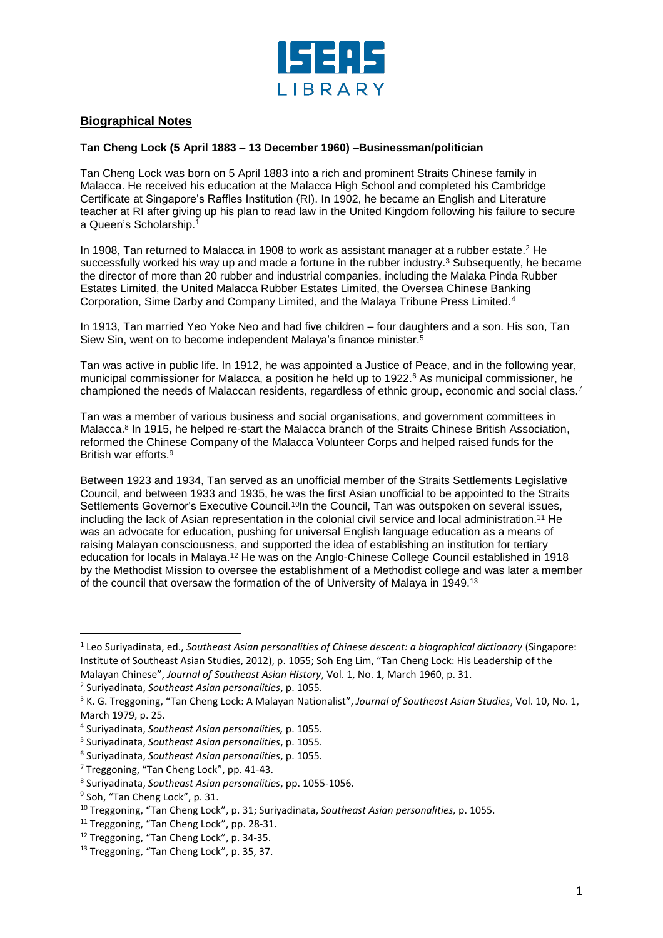

## **Biographical Notes**

## **Tan Cheng Lock (5 April 1883 – 13 December 1960) –Businessman/politician**

Tan Cheng Lock was born on 5 April 1883 into a rich and prominent Straits Chinese family in Malacca. He received his education at the Malacca High School and completed his Cambridge Certificate at Singapore's Raffles Institution (RI). In 1902, he became an English and Literature teacher at RI after giving up his plan to read law in the United Kingdom following his failure to secure a Queen's Scholarship.<sup>1</sup>

In 1908, Tan returned to Malacca in 1908 to work as assistant manager at a rubber estate. <sup>2</sup> He successfully worked his way up and made a fortune in the rubber industry.<sup>3</sup> Subsequently, he became the director of more than 20 rubber and industrial companies, including the Malaka Pinda Rubber Estates Limited, the United Malacca Rubber Estates Limited, the Oversea Chinese Banking Corporation, Sime Darby and Company Limited, and the Malaya Tribune Press Limited.<sup>4</sup>

In 1913, Tan married Yeo Yoke Neo and had five children – four daughters and a son. His son, Tan Siew Sin, went on to become independent Malaya's finance minister.<sup>5</sup>

Tan was active in public life. In 1912, he was appointed a Justice of Peace, and in the following year, municipal commissioner for Malacca, a position he held up to 1922.<sup>6</sup> As municipal commissioner, he championed the needs of Malaccan residents, regardless of ethnic group, economic and social class.<sup>7</sup>

Tan was a member of various business and social organisations, and government committees in Malacca.<sup>8</sup> In 1915, he helped re-start the Malacca branch of the Straits Chinese British Association, reformed the Chinese Company of the Malacca Volunteer Corps and helped raised funds for the British war efforts.<sup>9</sup>

Between 1923 and 1934, Tan served as an unofficial member of the Straits Settlements Legislative Council, and between 1933 and 1935, he was the first Asian unofficial to be appointed to the Straits Settlements Governor's Executive Council.<sup>10</sup>In the Council, Tan was outspoken on several issues, including the lack of Asian representation in the colonial civil service and local administration. <sup>11</sup> He was an advocate for education, pushing for universal English language education as a means of raising Malayan consciousness, and supported the idea of establishing an institution for tertiary education for locals in Malaya.<sup>12</sup> He was on the Anglo-Chinese College Council established in 1918 by the Methodist Mission to oversee the establishment of a Methodist college and was later a member of the council that oversaw the formation of the of University of Malaya in 1949.<sup>13</sup>

l

<sup>1</sup> Leo Suriyadinata, ed., *Southeast Asian personalities of Chinese descent: a biographical dictionary* (Singapore: Institute of Southeast Asian Studies, 2012), p. 1055; Soh Eng Lim, "Tan Cheng Lock: His Leadership of the Malayan Chinese", *Journal of Southeast Asian History*, Vol. 1, No. 1, March 1960, p. 31.

<sup>2</sup> Suriyadinata, *Southeast Asian personalities*, p. 1055.

<sup>3</sup> K. G. Treggoning, "Tan Cheng Lock: A Malayan Nationalist", *Journal of Southeast Asian Studies*, Vol. 10, No. 1, March 1979, p. 25.

<sup>4</sup> Suriyadinata, *Southeast Asian personalities,* p. 1055.

<sup>5</sup> Suriyadinata, *Southeast Asian personalities*, p. 1055.

<sup>6</sup> Suriyadinata, *Southeast Asian personalities*, p. 1055.

<sup>&</sup>lt;sup>7</sup> Treggoning, "Tan Cheng Lock", pp. 41-43.

<sup>8</sup> Suriyadinata, *Southeast Asian personalities*, pp. 1055-1056.

<sup>&</sup>lt;sup>9</sup> Soh, "Tan Cheng Lock", p. 31.

<sup>10</sup> Treggoning, "Tan Cheng Lock", p. 31; Suriyadinata, *Southeast Asian personalities,* p. 1055.

<sup>&</sup>lt;sup>11</sup> Treggoning, "Tan Cheng Lock", pp. 28-31.

<sup>&</sup>lt;sup>12</sup> Treggoning, "Tan Cheng Lock", p. 34-35.

<sup>&</sup>lt;sup>13</sup> Treggoning, "Tan Cheng Lock", p. 35, 37.